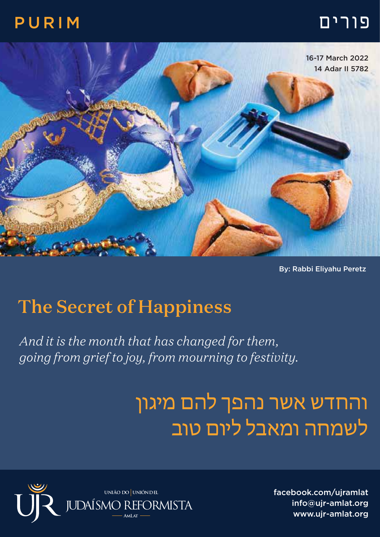### פורים PURIM



By: Rabbi Eliyahu Peretz

## The Secret of Happiness

*And it is the month that has changed for them, going from grief to joy, from mourning to festivity.*

# והחדש אשר נהפך להם מיגון לשמחה ומאבל ליום טוב



facebook.com/ujramlat info@ujr-amlat.org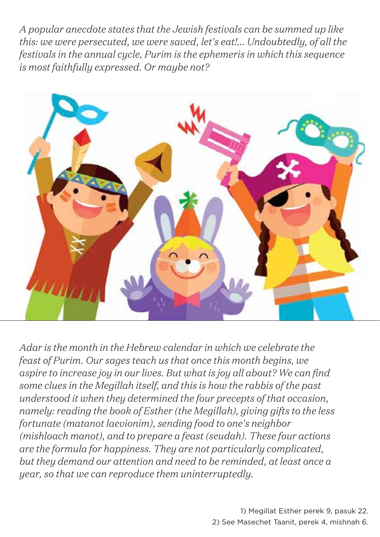*A popular anecdote states that the Jewish festivals can be summed up like this: we were persecuted, we were saved, let's eat!... Undoubtedly, of all the festivals in the annual cycle, Purim is the ephemeris in which this sequence is most faithfully expressed. Or maybe not?*



*Adar is the month in the Hebrew calendar in which we celebrate the feast of Purim. Our sages teach us that once this month begins, we aspire to increase joy in our lives. But what is joy all about? We can find some clues in the Megillah itself, and this is how the rabbis of the past understood it when they determined the four precepts of that occasion, namely: reading the book of Esther (the Megillah), giving gifts to the less fortunate (matanot laevionim), sending food to one's neighbor (mishloach manot), and to prepare a feast (seudah). These four actions are the formula for happiness. They are not particularly complicated, but they demand our attention and need to be reminded, at least once a year, so that we can reproduce them uninterruptedly.*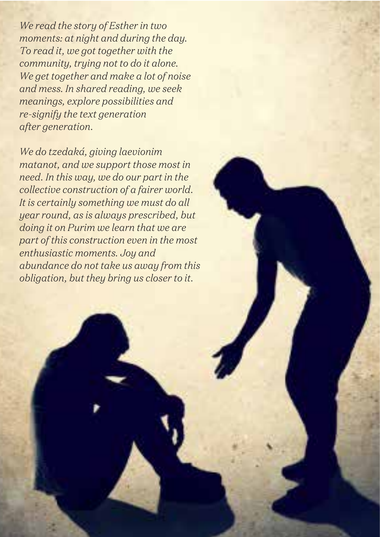*We read the story of Esther in two moments: at night and during the day. To read it, we got together with the community, trying not to do it alone. We get together and make a lot of noise and mess. In shared reading, we seek meanings, explore possibilities and re-signify the text generation after generation.*

*We do tzedaká, giving laevionim matanot, and we support those most in need. In this way, we do our part in the collective construction of a fairer world. It is certainly something we must do all year round, as is always prescribed, but doing it on Purim we learn that we are part of this construction even in the most enthusiastic moments. Joy and abundance do not take us away from this obligation, but they bring us closer to it.*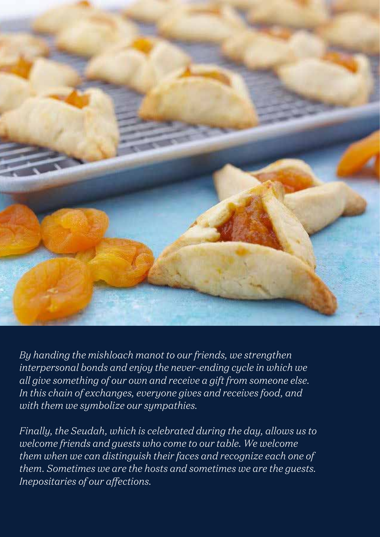

*By handing the mishloach manot to our friends, we strengthen interpersonal bonds and enjoy the never-ending cycle in which we all give something of our own and receive a gift from someone else. In this chain of exchanges, everyone gives and receives food, and with them we symbolize our sympathies.*

*Finally, the Seudah, which is celebrated during the day, allows us to welcome friends and guests who come to our table. We welcome them when we can distinguish their faces and recognize each one of them. Sometimes we are the hosts and sometimes we are the guests. Inepositaries of our affections.*